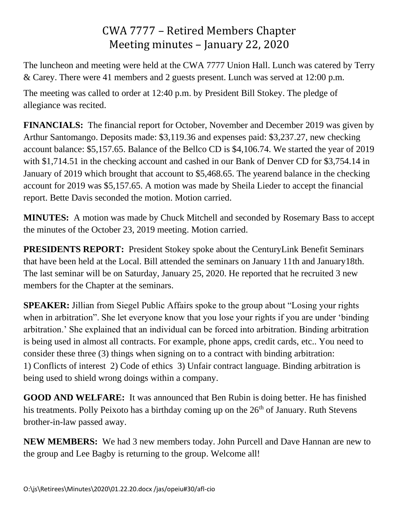## CWA 7777 – Retired Members Chapter Meeting minutes – January 22, 2020

The luncheon and meeting were held at the CWA 7777 Union Hall. Lunch was catered by Terry & Carey. There were 41 members and 2 guests present. Lunch was served at 12:00 p.m.

The meeting was called to order at 12:40 p.m. by President Bill Stokey. The pledge of allegiance was recited.

**FINANCIALS:** The financial report for October, November and December 2019 was given by Arthur Santomango. Deposits made: \$3,119.36 and expenses paid: \$3,237.27, new checking account balance: \$5,157.65. Balance of the Bellco CD is \$4,106.74. We started the year of 2019 with \$1,714.51 in the checking account and cashed in our Bank of Denver CD for \$3,754.14 in January of 2019 which brought that account to \$5,468.65. The yearend balance in the checking account for 2019 was \$5,157.65. A motion was made by Sheila Lieder to accept the financial report. Bette Davis seconded the motion. Motion carried.

**MINUTES:** A motion was made by Chuck Mitchell and seconded by Rosemary Bass to accept the minutes of the October 23, 2019 meeting. Motion carried.

**PRESIDENTS REPORT:** President Stokey spoke about the CenturyLink Benefit Seminars that have been held at the Local. Bill attended the seminars on January 11th and January18th. The last seminar will be on Saturday, January 25, 2020. He reported that he recruited 3 new members for the Chapter at the seminars.

**SPEAKER:** Jillian from Siegel Public Affairs spoke to the group about "Losing your rights when in arbitration". She let everyone know that you lose your rights if you are under 'binding arbitration.' She explained that an individual can be forced into arbitration. Binding arbitration is being used in almost all contracts. For example, phone apps, credit cards, etc.. You need to consider these three (3) things when signing on to a contract with binding arbitration: 1) Conflicts of interest 2) Code of ethics 3) Unfair contract language. Binding arbitration is being used to shield wrong doings within a company.

**GOOD AND WELFARE:** It was announced that Ben Rubin is doing better. He has finished his treatments. Polly Peixoto has a birthday coming up on the  $26<sup>th</sup>$  of January. Ruth Stevens brother-in-law passed away.

**NEW MEMBERS:** We had 3 new members today. John Purcell and Dave Hannan are new to the group and Lee Bagby is returning to the group. Welcome all!